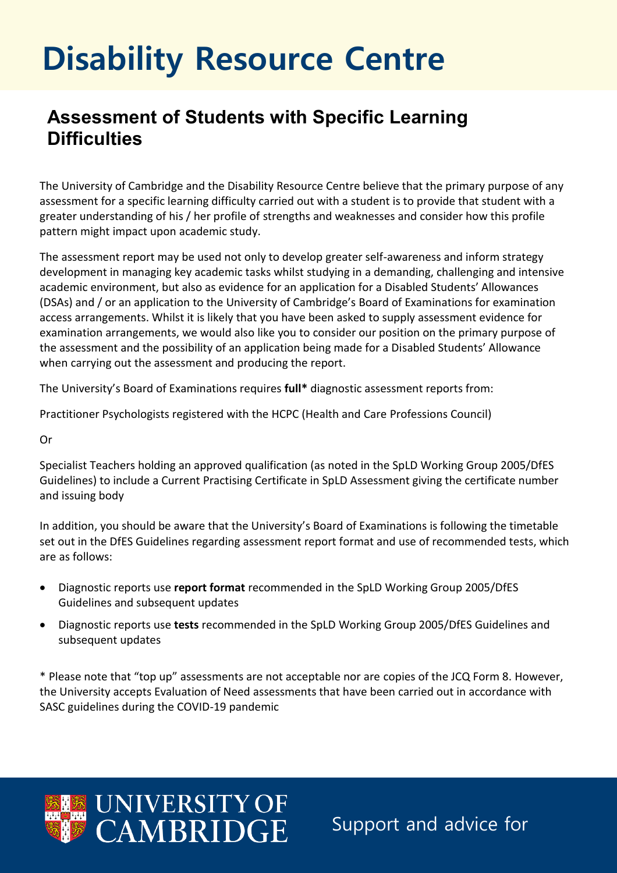## **Disability Resource Centre**

## **Assessment of Students with Specific Learning Difficulties**

The University of Cambridge and the Disability Resource Centre believe that the primary purpose of any assessment for a specific learning difficulty carried out with a student is to provide that student with a greater understanding of his / her profile of strengths and weaknesses and consider how this profile pattern might impact upon academic study.

The assessment report may be used not only to develop greater self-awareness and inform strategy development in managing key academic tasks whilst studying in a demanding, challenging and intensive academic environment, but also as evidence for an application for a Disabled Students' Allowances (DSAs) and / or an application to the University of Cambridge's Board of Examinations for examination access arrangements. Whilst it is likely that you have been asked to supply assessment evidence for examination arrangements, we would also like you to consider our position on the primary purpose of the assessment and the possibility of an application being made for a Disabled Students' Allowance when carrying out the assessment and producing the report.

The University's Board of Examinations requires **full\*** diagnostic assessment reports from:

Practitioner Psychologists registered with the HCPC (Health and Care Professions Council)

Or

Specialist Teachers holding an approved qualification (as noted in the SpLD Working Group 2005/DfES Guidelines) to include a Current Practising Certificate in SpLD Assessment giving the certificate number and issuing body

In addition, you should be aware that the University's Board of Examinations is following the timetable set out in the DfES Guidelines regarding assessment report format and use of recommended tests, which are as follows:

- Diagnostic reports use **report format** recommended in the SpLD Working Group 2005/DfES Guidelines and subsequent updates
- Diagnostic reports use **tests** recommended in the SpLD Working Group 2005/DfES Guidelines and subsequent updates

\* Please note that "top up" assessments are not acceptable nor are copies of the JCQ Form 8. However, the University accepts Evaluation of Need assessments that have been carried out in accordance with SASC guidelines during the COVID-19 pandemic